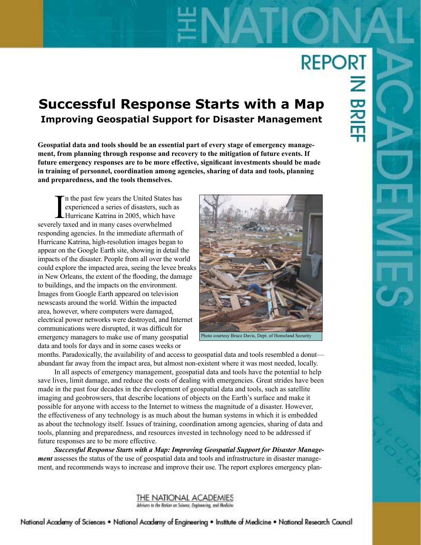# **REPORT**

# **Successful Response Starts with a Map Improving Geospatial Support for Disaster Management**

**Geospatial data and tools should be an essential part of every stage of emergency management, from planning through response and recovery to the mitigation of future events. If future emergency responses are to be more effective, significant investments should be made in training of personnel, coordination among agencies, sharing of data and tools, planning and preparedness, and the tools themselves.** 

In the past few years the United States experienced a series of disasters, such Hurricane Katrina in 2005, which have severely taxed and in many cases overwhelmed n the past few years the United States has experienced a series of disasters, such as Hurricane Katrina in 2005, which have responding agencies. In the immediate aftermath of Hurricane Katrina, high-resolution images began to appear on the Google Earth site, showing in detail the impacts of the disaster. People from all over the world could explore the impacted area, seeing the levee breaks in New Orleans, the extent of the flooding, the damage to buildings, and the impacts on the environment. Images from Google Earth appeared on television newscasts around the world. Within the impacted area, however, where computers were damaged, electrical power networks were destroyed, and Internet communications were disrupted, it was difficult for emergency managers to make use of many geospatial data and tools for days and in some cases weeks or



months. Paradoxically, the availability of and access to geospatial data and tools resembled a donut abundant far away from the impact area, but almost non-existent where it was most needed, locally.

In all aspects of emergency management, geospatial data and tools have the potential to help save lives, limit damage, and reduce the costs of dealing with emergencies. Great strides have been made in the past four decades in the development of geospatial data and tools, such as satellite imaging and geobrowsers, that describe locations of objects on the Earth's surface and make it possible for anyone with access to the Internet to witness the magnitude of a disaster. However, the effectiveness of any technology is as much about the human systems in which it is embedded as about the technology itself. Issues of training, coordination among agencies, sharing of data and tools, planning and preparedness, and resources invested in technology need to be addressed if future responses are to be more effective.

*Successful Response Starts with a Map: Improving Geospatial Support for Disaster Management* assesses the status of the use of geospatial data and tools and infrastructure in disaster management, and recommends ways to increase and improve their use. The report explores emergency plan-

> THE NATIONAL ACADEMIES Advisers to the Nation on Science, Engineering, and Medicine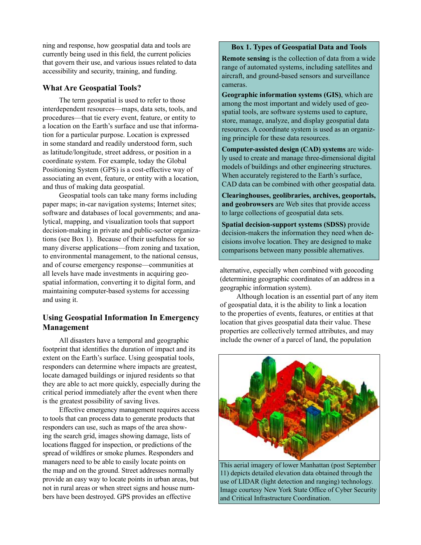ning and response, how geospatial data and tools are currently being used in this field, the current policies that govern their use, and various issues related to data accessibility and security, training, and funding.

#### **What Are Geospatial Tools?**

The term geospatial is used to refer to those interdependent resources—maps, data sets, tools, and procedures—that tie every event, feature, or entity to a location on the Earth's surface and use that information for a particular purpose. Location is expressed in some standard and readily understood form, such as latitude/longitude, street address, or position in a coordinate system. For example, today the Global Positioning System (GPS) is a cost-effective way of associating an event, feature, or entity with a location, and thus of making data geospatial.

Geospatial tools can take many forms including paper maps; in-car navigation systems; Internet sites; software and databases of local governments; and analytical, mapping, and visualization tools that support decision-making in private and public-sector organizations (see Box 1). Because of their usefulness for so many diverse applications—from zoning and taxation, to environmental management, to the national census, and of course emergency response—communities at all levels have made investments in acquiring geospatial information, converting it to digital form, and maintaining computer-based systems for accessing and using it.

# **Using Geospatial Information In Emergency Management**

All disasters have a temporal and geographic footprint that identifies the duration of impact and its extent on the Earth's surface. Using geospatial tools, responders can determine where impacts are greatest, locate damaged buildings or injured residents so that they are able to act more quickly, especially during the critical period immediately after the event when there is the greatest possibility of saving lives.

Effective emergency management requires access to tools that can process data to generate products that responders can use, such as maps of the area showing the search grid, images showing damage, lists of locations flagged for inspection, or predictions of the spread of wildfires or smoke plumes. Responders and managers need to be able to easily locate points on the map and on the ground. Street addresses normally provide an easy way to locate points in urban areas, but not in rural areas or when street signs and house numbers have been destroyed. GPS provides an effective

#### **Box 1. Types of Geospatial Data and Tools**

**Remote sensing** is the collection of data from a wide range of automated systems, including satellites and aircraft, and ground-based sensors and surveillance cameras.

**Geographic information systems (GIS)**, which are among the most important and widely used of geospatial tools, are software systems used to capture, store, manage, analyze, and display geospatial data resources. A coordinate system is used as an organizing principle for these data resources.

**Computer-assisted design (CAD) systems** are widely used to create and manage three-dimensional digital models of buildings and other engineering structures. When accurately registered to the Earth's surface, CAD data can be combined with other geospatial data.

**Clearinghouses, geolibraries, archives, geoportals, and geobrowsers** are Web sites that provide access to large collections of geospatial data sets.

**Spatial decision-support systems (SDSS)** provide decision-makers the information they need when decisions involve location. They are designed to make comparisons between many possible alternatives.

alternative, especially when combined with geocoding (determining geographic coordinates of an address in a geographic information system).

Although location is an essential part of any item of geospatial data, it is the ability to link a location to the properties of events, features, or entities at that location that gives geospatial data their value. These properties are collectively termed attributes, and may include the owner of a parcel of land, the population



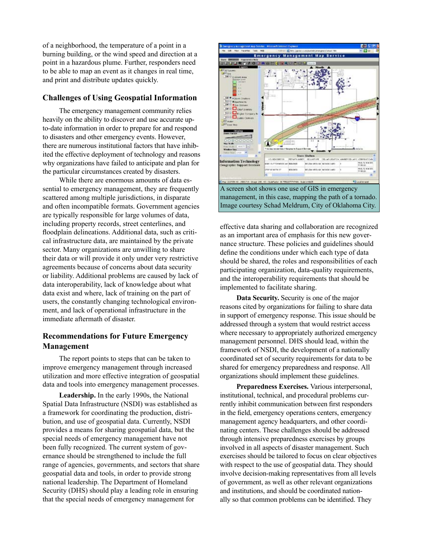of a neighborhood, the temperature of a point in a burning building, or the wind speed and direction at a point in a hazardous plume. Further, responders need to be able to map an event as it changes in real time, and print and distribute updates quickly.

### **Challenges of Using Geospatial Information**

The emergency management community relies heavily on the ability to discover and use accurate upto-date information in order to prepare for and respond to disasters and other emergency events. However, there are numerous institutional factors that have inhibited the effective deployment of technology and reasons why organizations have failed to anticipate and plan for the particular circumstances created by disasters.

While there are enormous amounts of data essential to emergency management, they are frequently scattered among multiple jurisdictions, in disparate and often incompatible formats. Government agencies are typically responsible for large volumes of data, including property records, street centerlines, and floodplain delineations. Additional data, such as critical infrastructure data, are maintained by the private sector. Many organizations are unwilling to share their data or will provide it only under very restrictive agreements because of concerns about data security or liability. Additional problems are caused by lack of data interoperability, lack of knowledge about what data exist and where, lack of training on the part of users, the constantly changing technological environment, and lack of operational infrastructure in the immediate aftermath of disaster.

# **Recommendations for Future Emergency Management**

The report points to steps that can be taken to improve emergency management through increased utilization and more effective integration of geospatial data and tools into emergency management processes.

**Leadership.** In the early 1990s, the National Spatial Data Infrastructure (NSDI) was established as a framework for coordinating the production, distribution, and use of geospatial data. Currently, NSDI provides a means for sharing geospatial data, but the special needs of emergency management have not been fully recognized. The current system of governance should be strengthened to include the full range of agencies, governments, and sectors that share geospatial data and tools, in order to provide strong national leadership. The Department of Homeland Security (DHS) should play a leading role in ensuring that the special needs of emergency management for



effective data sharing and collaboration are recognized as an important area of emphasis for this new governance structure. These policies and guidelines should define the conditions under which each type of data should be shared, the roles and responsibilities of each participating organization, data-quality requirements, and the interoperability requirements that should be implemented to facilitate sharing.

**Data Security.** Security is one of the major reasons cited by organizations for failing to share data in support of emergency response. This issue should be addressed through a system that would restrict access where necessary to appropriately authorized emergency management personnel. DHS should lead, within the framework of NSDI, the development of a nationally coordinated set of security requirements for data to be shared for emergency preparedness and response. All organizations should implement these guidelines.

**Preparedness Exercises.** Various interpersonal, institutional, technical, and procedural problems currently inhibit communication between first responders in the field, emergency operations centers, emergency management agency headquarters, and other coordinating centers. These challenges should be addressed through intensive preparedness exercises by groups involved in all aspects of disaster management. Such exercises should be tailored to focus on clear objectives with respect to the use of geospatial data. They should involve decision-making representatives from all levels of government, as well as other relevant organizations and institutions, and should be coordinated nationally so that common problems can be identified. They